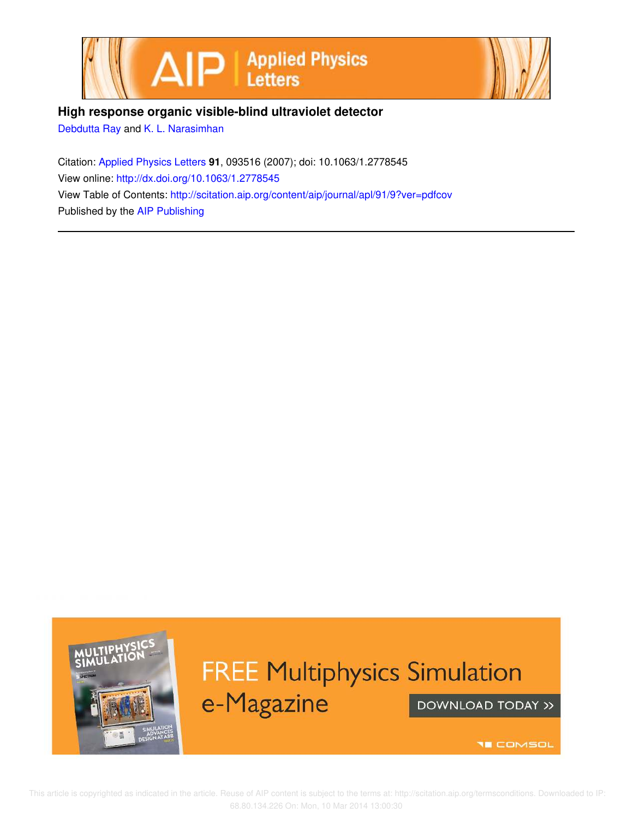



## **High response organic visible-blind ultraviolet detector**

Debdutta Ray and K. L. Narasimhan

Citation: Applied Physics Letters **91**, 093516 (2007); doi: 10.1063/1.2778545 View online: http://dx.doi.org/10.1063/1.2778545 View Table of Contents: http://scitation.aip.org/content/aip/journal/apl/91/9?ver=pdfcov Published by the AIP Publishing



## **FREE Multiphysics Simulation** e-Magazine DOWNLOAD TODAY >>

**THE COMSOL**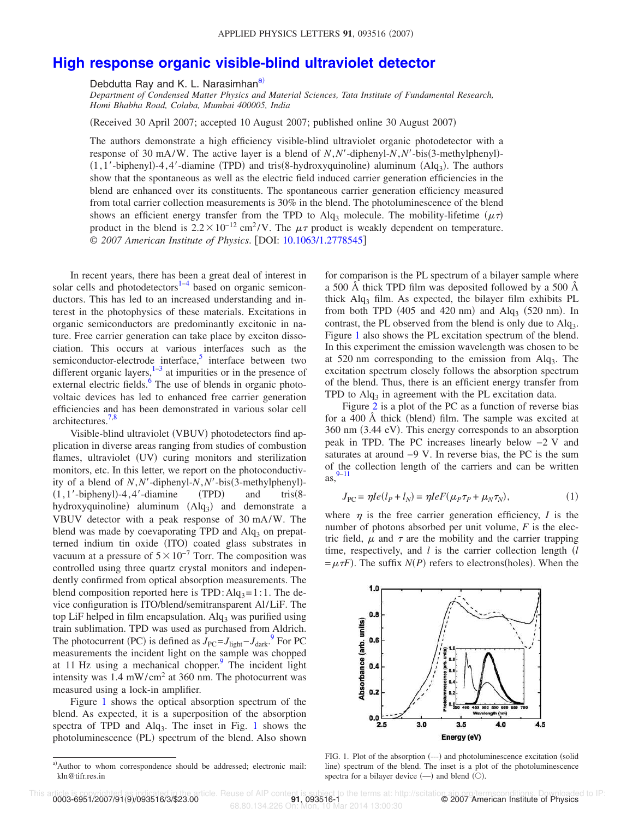## **High response organic visible-blind ultraviolet detector**

Debdutta Ray and K. L. Narasimhan<sup>a)</sup>

*Department of Condensed Matter Physics and Material Sciences, Tata Institute of Fundamental Research, Homi Bhabha Road, Colaba, Mumbai 400005, India*

Received 30 April 2007; accepted 10 August 2007; published online 30 August 2007-

The authors demonstrate a high efficiency visible-blind ultraviolet organic photodetector with a response of 30 mA/W. The active layer is a blend of  $N$ ,  $N'$ -diphenyl- $N$ ,  $N'$ -bis(3-methylphenyl)-(1,1'-biphenyl)-4,4'-diamine (TPD) and tris(8-hydroxyquinoline) aluminum (Alq<sub>3</sub>). The authors show that the spontaneous as well as the electric field induced carrier generation efficiencies in the blend are enhanced over its constituents. The spontaneous carrier generation efficiency measured from total carrier collection measurements is 30% in the blend. The photoluminescence of the blend shows an efficient energy transfer from the TPD to Alq<sub>3</sub> molecule. The mobility-lifetime  $(\mu \tau)$ product in the blend is  $2.2 \times 10^{-12}$  cm<sup>2</sup>/V. The  $\mu\tau$  product is weakly dependent on temperature. © 2007 American Institute of Physics. [DOI: 10.1063/1.2778545]

In recent years, there has been a great deal of interest in solar cells and photodetectors<sup>1-4</sup> based on organic semiconductors. This has led to an increased understanding and interest in the photophysics of these materials. Excitations in organic semiconductors are predominantly excitonic in nature. Free carrier generation can take place by exciton dissociation. This occurs at various interfaces such as the semiconductor-electrode interface,<sup>5</sup> interface between two different organic layers, $1-3$  at impurities or in the presence of external electric fields.<sup>6</sup> The use of blends in organic photovoltaic devices has led to enhanced free carrier generation efficiencies and has been demonstrated in various solar cell architectures.7,8

Visible-blind ultraviolet (VBUV) photodetectors find application in diverse areas ranging from studies of combustion flames, ultraviolet (UV) curing monitors and sterilization monitors, etc. In this letter, we report on the photoconductivity of a blend of  $N, N'$ -diphenyl- $N, N'$ -bis(3-methylphenyl)- $(1, 1'-biphenyl) - 4, 4'-diamine$  (TPD)  $(TPD)$  and tris $(8$ hydroxyquinoline) aluminum (Alq<sub>3</sub>) and demonstrate a VBUV detector with a peak response of 30 mA/W. The blend was made by coevaporating TPD and  $\text{Al}q_3$  on prepatterned indium tin oxide (ITO) coated glass substrates in vacuum at a pressure of  $5 \times 10^{-7}$  Torr. The composition was controlled using three quartz crystal monitors and independently confirmed from optical absorption measurements. The blend composition reported here is  $TPD: Alg_3=1:1$ . The device configuration is ITO/blend/semitransparent Al/LiF. The top LiF helped in film encapsulation.  $Alg_3$  was purified using train sublimation. TPD was used as purchased from Aldrich. The photocurrent (PC) is defined as  $J_{\text{PC}} = J_{\text{light}} - J_{\text{dark}}$ .<sup>9</sup> For PC measurements the incident light on the sample was chopped at 11 Hz using a mechanical chopper. $\frac{9}{2}$  The incident light intensity was  $1.4 \text{ mW/cm}^2$  at 360 nm. The photocurrent was measured using a lock-in amplifier.

Figure 1 shows the optical absorption spectrum of the blend. As expected, it is a superposition of the absorption spectra of TPD and Alq<sub>3</sub>. The inset in Fig. 1 shows the photoluminescence (PL) spectrum of the blend. Also shown

for comparison is the PL spectrum of a bilayer sample where a 500 Å thick TPD film was deposited followed by a 500 Å thick  $\text{Alg}_3$  film. As expected, the bilayer film exhibits PL from both TPD  $(405 \text{ and } 420 \text{ nm})$  and  $\text{Alq}_3$   $(520 \text{ nm})$ . In contrast, the PL observed from the blend is only due to  $Alg_3$ . Figure 1 also shows the PL excitation spectrum of the blend. In this experiment the emission wavelength was chosen to be at 520 nm corresponding to the emission from Alq<sup>3</sup> . The excitation spectrum closely follows the absorption spectrum of the blend. Thus, there is an efficient energy transfer from TPD to  $\text{Alq}_3$  in agreement with the PL excitation data.

Figure 2 is a plot of the PC as a function of reverse bias for a 400 Å thick (blend) film. The sample was excited at 360 nm (3.44 eV). This energy corresponds to an absorption peak in TPD. The PC increases linearly below −2 V and saturates at around −9 V. In reverse bias, the PC is the sum of the collection length of the carriers and can be written as, 9–11

$$
J_{\rm PC} = \eta I e (l_P + l_N) = \eta I e F (\mu_P \tau_P + \mu_N \tau_N), \qquad (1)
$$

where  $\eta$  is the free carrier generation efficiency, *I* is the number of photons absorbed per unit volume, *F* is the electric field,  $\mu$  and  $\tau$  are the mobility and the carrier trapping time, respectively, and *l* is the carrier collection length *l*  $=\mu \tau F$ ). The suffix *N*(*P*) refers to electrons(holes). When the



FIG. 1. Plot of the absorption (---) and photoluminescence excitation (solid line) spectrum of the blend. The inset is a plot of the photoluminescence spectra for a bilayer device  $(-)$  and blend  $(0)$ .

a)Author to whom correspondence should be addressed; electronic mail: kln@tifr.res.in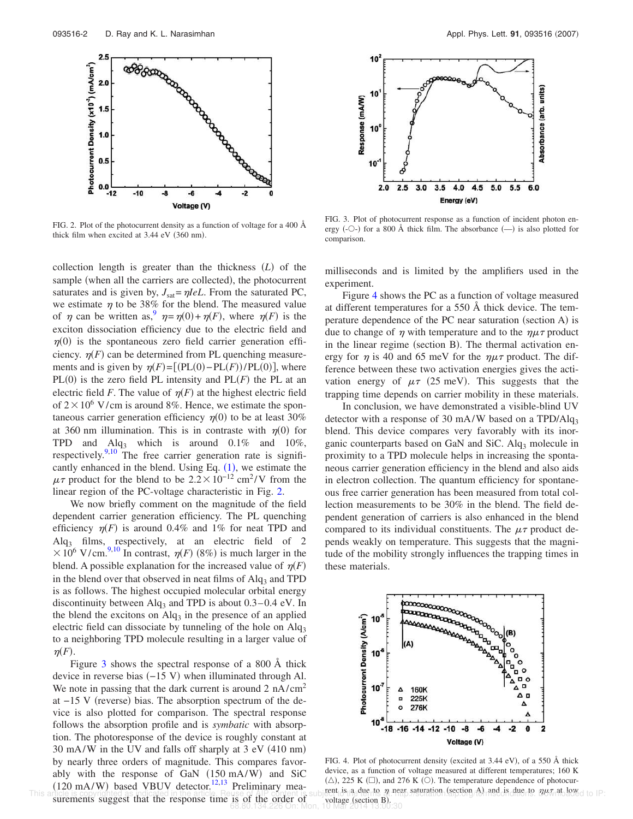

FIG. 2. Plot of the photocurrent density as a function of voltage for a 400 Å thick film when excited at  $3.44$  eV ( $360$  nm).

collection length is greater than the thickness (L) of the sample (when all the carriers are collected), the photocurrent saturates and is given by,  $J_{\text{sat}} = \eta I eL$ . From the saturated PC, we estimate  $\eta$  to be 38% for the blend. The measured value of  $\eta$  can be written as,  $\eta = \eta(0) + \eta(F)$ , where  $\eta(F)$  is the exciton dissociation efficiency due to the electric field and  $\eta(0)$  is the spontaneous zero field carrier generation efficiency.  $\eta(F)$  can be determined from PL quenching measurements and is given by  $\eta(F) = [(PL(0) - PL(F))/PL(0)]$ , where  $PL(0)$  is the zero field PL intensity and  $PL(F)$  the PL at an electric field *F*. The value of  $\eta$ (*F*) at the highest electric field of  $2 \times 10^6$  V/cm is around 8%. Hence, we estimate the spontaneous carrier generation efficiency  $\eta(0)$  to be at least 30% at 360 nm illumination. This is in contraste with  $\eta(0)$  for TPD and  $Alg_3$  which is around 0.1% and 10%, respectively.<sup>9,10</sup> The free carrier generation rate is significantly enhanced in the blend. Using Eq.  $(1)$ , we estimate the  $\mu\tau$  product for the blend to be 2.2 × 10<sup>-12</sup> cm<sup>2</sup>/V from the linear region of the PC-voltage characteristic in Fig. 2.

We now briefly comment on the magnitude of the field dependent carrier generation efficiency. The PL quenching efficiency  $\eta(F)$  is around 0.4% and 1% for neat TPD and  $\text{Alg}_3$  films, respectively, at an electric field of 2  $\times 10^6$  V/cm.<sup>9,10</sup> In contrast,  $\eta(F)$  (8%) is much larger in the blend. A possible explanation for the increased value of  $\eta(F)$ in the blend over that observed in neat films of  $\text{Alg}_3$  and TPD is as follows. The highest occupied molecular orbital energy discontinuity between  $\text{Alq}_3$  and TPD is about 0.3–0.4 eV. In the blend the excitons on  $\text{Alg}_3$  in the presence of an applied electric field can dissociate by tunneling of the hole on  $\text{Alg}_3$ to a neighboring TPD molecule resulting in a larger value of  $\eta(F)$ .

Figure 3 shows the spectral response of a 800 Å thick device in reverse bias (-15 V) when illuminated through Al. We note in passing that the dark current is around  $2 \text{ nA/cm}^2$ at −15 V (reverse) bias. The absorption spectrum of the device is also plotted for comparison. The spectral response follows the absorption profile and is *symbatic* with absorption. The photoresponse of the device is roughly constant at  $30 \text{ mA/W}$  in the UV and falls off sharply at  $3 \text{ eV}$  (410 nm) by nearly three orders of magnitude. This compares favorably with the response of GaN (150 mA/W) and SiC  $(120 \text{ mA/W})$  based VBUV detector.<sup>12,13</sup> Preliminary measurements suggest that the response time is of the order of



FIG. 3. Plot of photocurrent response as a function of incident photon energy (- $\circ$ -) for a 800 Å thick film. The absorbance  $(-)$  is also plotted for comparison.

milliseconds and is limited by the amplifiers used in the experiment.

Figure 4 shows the PC as a function of voltage measured at different temperatures for a 550 Å thick device. The temperature dependence of the PC near saturation (section A) is due to change of  $\eta$  with temperature and to the  $\eta\mu\tau$  product in the linear regime (section B). The thermal activation energy for  $\eta$  is 40 and 65 meV for the  $\eta\mu\tau$  product. The difference between these two activation energies gives the activation energy of  $\mu \tau$  (25 meV). This suggests that the trapping time depends on carrier mobility in these materials.

In conclusion, we have demonstrated a visible-blind UV detector with a response of 30 mA/W based on a TPD/Alq<sub>3</sub> blend. This device compares very favorably with its inorganic counterparts based on GaN and SiC.  $\text{Alg}_3$  molecule in proximity to a TPD molecule helps in increasing the spontaneous carrier generation efficiency in the blend and also aids in electron collection. The quantum efficiency for spontaneous free carrier generation has been measured from total collection measurements to be 30% in the blend. The field dependent generation of carriers is also enhanced in the blend compared to its individual constituents. The  $\mu\tau$  product depends weakly on temperature. This suggests that the magnitude of the mobility strongly influences the trapping times in these materials.



FIG. 4. Plot of photocurrent density (excited at 3.44 eV), of a 550 Å thick device, as a function of voltage measured at different temperatures; 160 K  $(\triangle)$ , 225 K  $(\square)$ , and 276 K  $(\bigcirc)$ . The temperature dependence of photocur-This article is copyrighted as indicated in the article. Reuse of AIP content is subject to a due to mean saturation (section A) and is due to much allowed to IP: **is of the order of voltage (section B).**<br>68.80.134.226 On: Mon, 10 Mar 2014 13:00:30